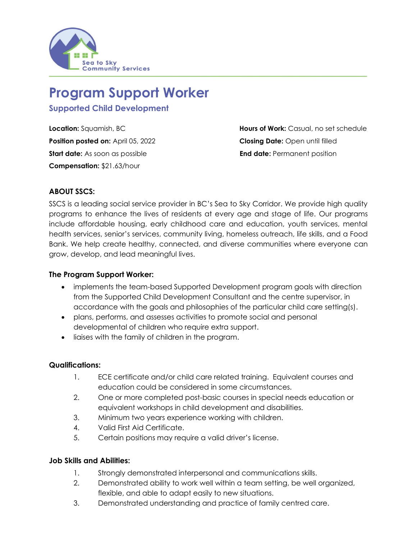

# **Program Support Worker**

## **Supported Child Development**

**Position posted on:** April 05, 2022 **Closing Date:** Open until filled **Start date:** As soon as possible **End date:** Permanent position **Compensation:** \$21.63/hour

**Location:** Squamish, BC **Hours of Work:** Casual, no set schedule

### **ABOUT SSCS:**

SSCS is a leading social service provider in BC's Sea to Sky Corridor. We provide high quality programs to enhance the lives of residents at every age and stage of life. Our programs include affordable housing, early childhood care and education, youth services, mental health services, senior's services, community living, homeless outreach, life skills, and a Food Bank. We help create healthy, connected, and diverse communities where everyone can grow, develop, and lead meaningful lives.

### **The Program Support Worker:**

- implements the team-based Supported Development program goals with direction from the Supported Child Development Consultant and the centre supervisor, in accordance with the goals and philosophies of the particular child care setting(s).
- plans, performs, and assesses activities to promote social and personal developmental of children who require extra support.
- liaises with the family of children in the program.

### **Qualifications:**

- 1. ECE certificate and/or child care related training. Equivalent courses and education could be considered in some circumstances.
- 2. One or more completed post-basic courses in special needs education or equivalent workshops in child development and disabilities.
- 3. Minimum two years experience working with children.
- 4. Valid First Aid Certificate.
- 5. Certain positions may require a valid driver's license.

### **Job Skills and Abilities:**

- 1. Strongly demonstrated interpersonal and communications skills.
- 2. Demonstrated ability to work well within a team setting, be well organized, flexible, and able to adapt easily to new situations.
- 3. Demonstrated understanding and practice of family centred care.